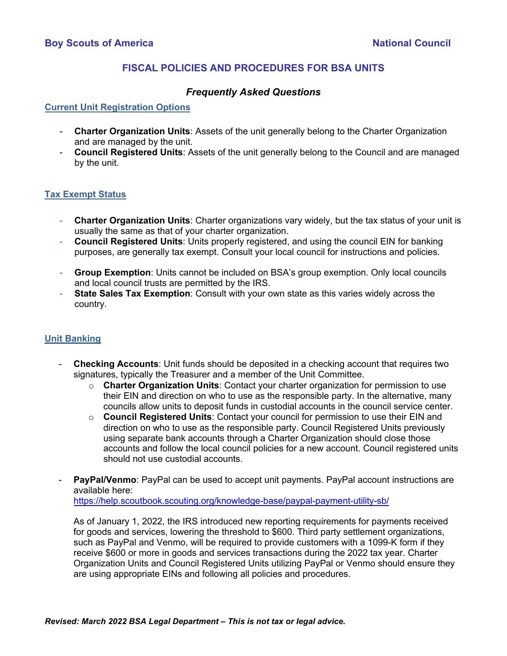# **FISCAL POLICIES AND PROCEDURES FOR BSA UNITS**

## *Frequently Asked Questions*

#### **Current Unit Registration Options**

- **Charter Organization Units**: Assets of the unit generally belong to the Charter Organization and are managed by the unit.
- **Council Registered Units**: Assets of the unit generally belong to the Council and are managed by the unit.

### **Tax Exempt Status**

- **Charter Organization Units**: Charter organizations vary widely, but the tax status of your unit is usually the same as that of your charter organization.
- **Council Registered Units**: Units properly registered, and using the council EIN for banking purposes, are generally tax exempt. Consult your local council for instructions and policies.
- **Group Exemption**: Units cannot be included on BSA's group exemption. Only local councils and local council trusts are permitted by the IRS.
- **State Sales Tax Exemption**: Consult with your own state as this varies widely across the country.

### **Unit Banking**

- **Checking Accounts:** Unit funds should be deposited in a checking account that requires two signatures, typically the Treasurer and a member of the Unit Committee.
	- o **Charter Organization Units**: Contact your charter organization for permission to use their EIN and direction on who to use as the responsible party. In the alternative, many councils allow units to deposit funds in custodial accounts in the council service center.
	- o **Council Registered Units**: Contact your council for permission to use their EIN and direction on who to use as the responsible party. Council Registered Units previously using separate bank accounts through a Charter Organization should close those accounts and follow the local council policies for a new account. Council registered units should not use custodial accounts.
- **PayPal/Venmo**: PayPal can be used to accept unit payments. PayPal account instructions are available here:

<https://help.scoutbook.scouting.org/knowledge-base/paypal-payment-utility-sb/>

As of January 1, 2022, the IRS introduced new reporting requirements for payments received for goods and services, lowering the threshold to \$600. Third party settlement organizations, such as PayPal and Venmo, will be required to provide customers with a 1099-K form if they receive \$600 or more in goods and services transactions during the 2022 tax year. Charter Organization Units and Council Registered Units utilizing PayPal or Venmo should ensure they are using appropriate EINs and following all policies and procedures.